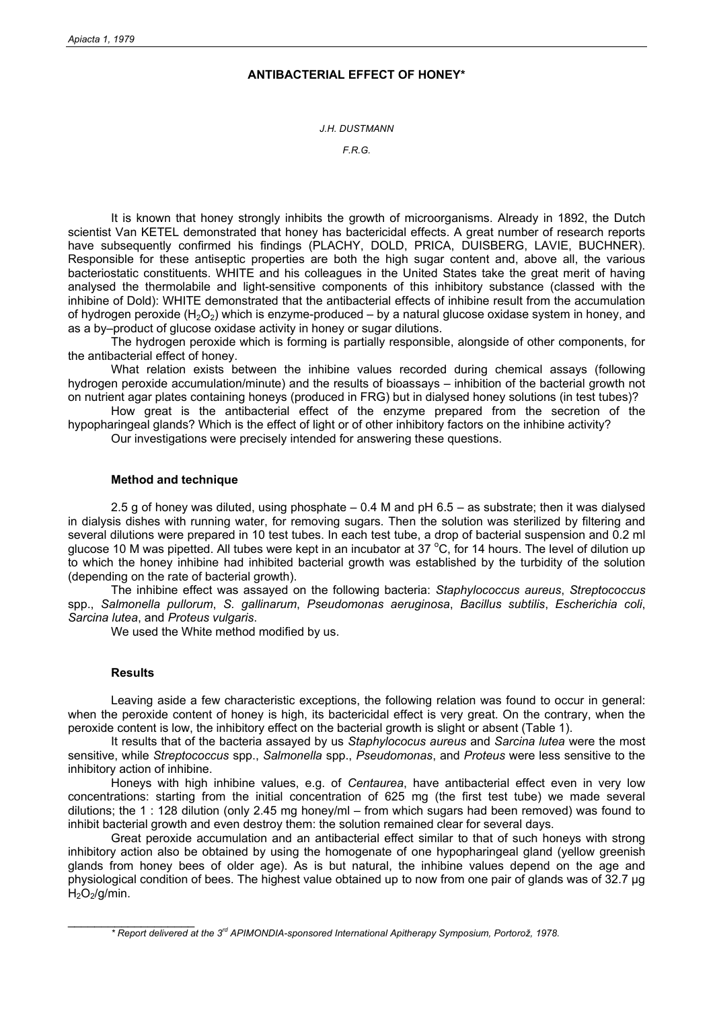## **ANTIBACTERIAL EFFECT OF HONEY\***

*J.H. DUSTMANN* 

*F.R.G.* 

It is known that honey strongly inhibits the growth of microorganisms. Already in 1892, the Dutch scientist Van KETEL demonstrated that honey has bactericidal effects. A great number of research reports have subsequently confirmed his findings (PLACHY, DOLD, PRICA, DUISBERG, LAVIE, BUCHNER). Responsible for these antiseptic properties are both the high sugar content and, above all, the various bacteriostatic constituents. WHITE and his colleagues in the United States take the great merit of having analysed the thermolabile and light-sensitive components of this inhibitory substance (classed with the inhibine of Dold): WHITE demonstrated that the antibacterial effects of inhibine result from the accumulation of hydrogen peroxide  $(H_2O_2)$  which is enzyme-produced – by a natural glucose oxidase system in honey, and as a by–product of glucose oxidase activity in honey or sugar dilutions.

The hydrogen peroxide which is forming is partially responsible, alongside of other components, for the antibacterial effect of honey.

What relation exists between the inhibine values recorded during chemical assays (following hydrogen peroxide accumulation/minute) and the results of bioassays – inhibition of the bacterial growth not on nutrient agar plates containing honeys (produced in FRG) but in dialysed honey solutions (in test tubes)?

How great is the antibacterial effect of the enzyme prepared from the secretion of the hypopharingeal glands? Which is the effect of light or of other inhibitory factors on the inhibine activity?

Our investigations were precisely intended for answering these questions.

## **Method and technique**

2.5 g of honey was diluted, using phosphate – 0.4 M and pH 6.5 – as substrate; then it was dialysed in dialysis dishes with running water, for removing sugars. Then the solution was sterilized by filtering and several dilutions were prepared in 10 test tubes. In each test tube, a drop of bacterial suspension and 0.2 ml glucose 10 M was pipetted. All tubes were kept in an incubator at 37 °C, for 14 hours. The level of dilution up to which the honey inhibine had inhibited bacterial growth was established by the turbidity of the solution (depending on the rate of bacterial growth).

The inhibine effect was assayed on the following bacteria: *Staphylococcus aureus*, *Streptococcus* spp., *Salmonella pullorum*, *S. gallinarum*, *Pseudomonas aeruginosa*, *Bacillus subtilis*, *Escherichia coli*, *Sarcina lutea*, and *Proteus vulgaris*.

We used the White method modified by us.

## **Results**

 $\_$ 

Leaving aside a few characteristic exceptions, the following relation was found to occur in general: when the peroxide content of honey is high, its bactericidal effect is very great. On the contrary, when the peroxide content is low, the inhibitory effect on the bacterial growth is slight or absent (Table 1).

It results that of the bacteria assayed by us *Staphylococus aureus* and *Sarcina lutea* were the most sensitive, while *Streptococcus* spp., *Salmonella* spp., *Pseudomonas*, and *Proteus* were less sensitive to the inhibitory action of inhibine.

Honeys with high inhibine values, e.g. of *Centaurea*, have antibacterial effect even in very low concentrations: starting from the initial concentration of 625 mg (the first test tube) we made several dilutions; the 1 : 128 dilution (only 2.45 mg honey/ml – from which sugars had been removed) was found to inhibit bacterial growth and even destroy them: the solution remained clear for several days.

Great peroxide accumulation and an antibacterial effect similar to that of such honeys with strong inhibitory action also be obtained by using the homogenate of one hypopharingeal gland (yellow greenish glands from honey bees of older age). As is but natural, the inhibine values depend on the age and physiological condition of bees. The highest value obtained up to now from one pair of glands was of 32.7 µg  $H_2O_2/q/min$ .

 *<sup>\*</sup> Report delivered at the 3rd APIMONDIA-sponsored International Apitherapy Symposium, Portorož, 1978.*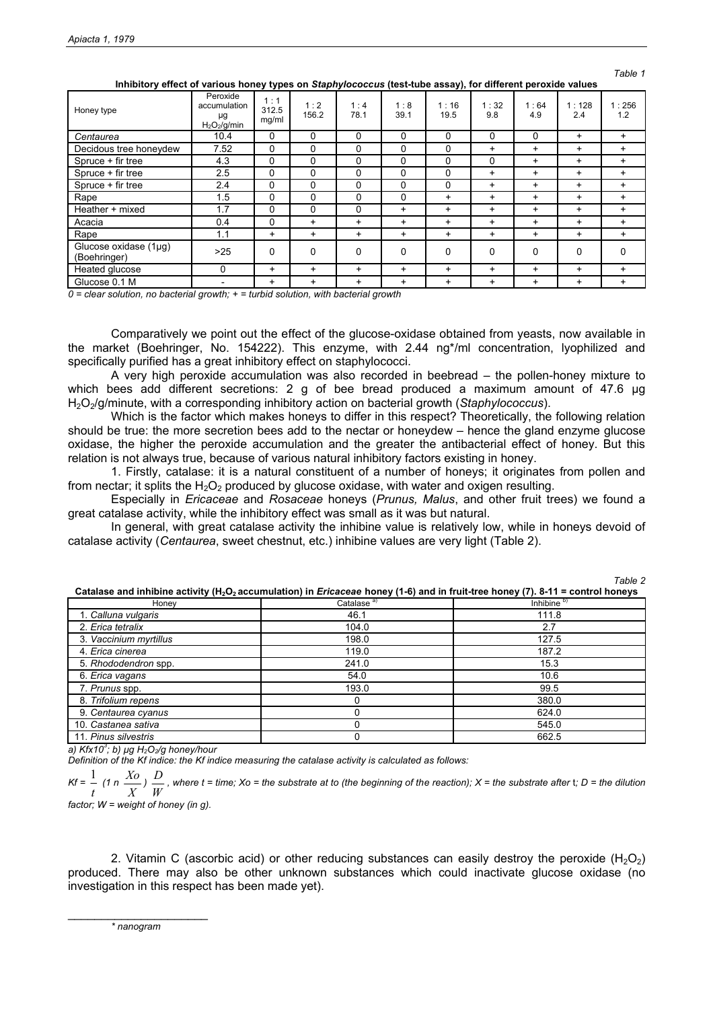*Table 1* 

| Honey type                            | Peroxide<br>accumulation<br>μg<br>H <sub>2</sub> O <sub>2</sub> /g/min | 1:1<br>312.5<br>mg/ml | 1:2<br>156.2 | 1:4<br>78.1 | 1:8<br>39.1 | 1:16<br>19.5 | 1:32<br>9.8 | 1:64<br>4.9 | 1:128<br>2.4 | 1:256<br>1.2 |
|---------------------------------------|------------------------------------------------------------------------|-----------------------|--------------|-------------|-------------|--------------|-------------|-------------|--------------|--------------|
| Centaurea                             | 10.4                                                                   | 0                     | 0            | 0           | 0           | 0            | 0           | $\Omega$    | $\ddot{}$    | $\ddot{}$    |
| Decidous tree honeydew                | 7.52                                                                   | 0                     | $\Omega$     | 0           | 0           | 0            | $\ddot{}$   | $\ddot{}$   | $\ddot{}$    | $\ddot{}$    |
| Spruce + fir tree                     | 4.3                                                                    | 0                     | 0            | 0           | 0           | 0            | 0           | $\ddot{}$   | $\ddot{}$    | $\ddot{}$    |
| Spruce + fir tree                     | 2.5                                                                    | $\Omega$              | 0            | 0           | $\Omega$    | 0            | $\ddot{}$   | $\ddot{}$   | $\ddot{}$    | $+$          |
| Spruce + fir tree                     | 2.4                                                                    | 0                     | $\Omega$     | 0           | $\Omega$    | 0            | $\ddot{}$   | $\ddot{}$   | +            | $+$          |
| Rape                                  | 1.5                                                                    | 0                     | 0            | 0           | 0           | $\ddot{}$    | $\ddot{}$   | $\ddot{}$   | $\ddot{}$    | $\ddot{}$    |
| Heather + mixed                       | 1.7                                                                    | 0                     | 0            | 0           | $\ddot{}$   | $\ddot{}$    | $\ddot{}$   | $\ddot{}$   | $\ddot{}$    | $+$          |
| Acacia                                | 0.4                                                                    | 0                     | $\ddot{}$    | $\ddot{}$   | $\ddot{}$   | $\ddot{}$    | $\ddot{}$   | $\ddot{}$   | $\ddot{}$    | $+$          |
| Rape                                  | 1.1                                                                    | $\ddot{}$             | $\ddot{}$    | $\ddot{}$   | $\ddot{}$   | $\ddot{}$    | $\ddot{}$   | $\ddot{}$   | $\ddot{}$    | $\ddot{}$    |
| Glucose oxidase (1µg)<br>(Boehringer) | >25                                                                    | 0                     | $\Omega$     | 0           | 0           | 0            | 0           | 0           | 0            | 0            |
| Heated glucose                        | 0                                                                      | $\ddot{}$             | $\ddot{}$    | $\ddot{}$   | $\ddot{}$   | $\ddot{}$    | $\ddot{}$   | $\ddot{}$   | $\ddot{}$    | $+$          |
| Glucose 0.1 M                         |                                                                        | $\ddot{}$             | $\ddot{}$    | $\ddot{}$   | $\ddot{}$   | $\ddot{}$    | $\ddot{}$   | $\ddot{}$   | $\ddot{}$    | $\ddot{}$    |

**Inhibitory effect of various honey types on** *Staphylococcus* **(test-tube assay), for different peroxide values** 

*0 = clear solution, no bacterial growth; + = turbid solution, with bacterial growth* 

Comparatively we point out the effect of the glucose-oxidase obtained from yeasts, now available in the market (Boehringer, No. 154222). This enzyme, with 2.44 ng\*/ml concentration, lyophilized and specifically purified has a great inhibitory effect on staphylococci.

A very high peroxide accumulation was also recorded in beebread – the pollen-honey mixture to which bees add different secretions: 2 g of bee bread produced a maximum amount of 47.6 µg H2O2/g/minute, with a corresponding inhibitory action on bacterial growth (*Staphylococcus*).

Which is the factor which makes honeys to differ in this respect? Theoretically, the following relation should be true: the more secretion bees add to the nectar or honeydew – hence the gland enzyme glucose oxidase, the higher the peroxide accumulation and the greater the antibacterial effect of honey. But this relation is not always true, because of various natural inhibitory factors existing in honey.

1. Firstly, catalase: it is a natural constituent of a number of honeys; it originates from pollen and from nectar; it splits the  $H_2O_2$  produced by glucose oxidase, with water and oxigen resulting.

Especially in *Ericaceae* and *Rosaceae* honeys (*Prunus, Malus*, and other fruit trees) we found a great catalase activity, while the inhibitory effect was small as it was but natural.

In general, with great catalase activity the inhibine value is relatively low, while in honeys devoid of catalase activity (*Centaurea*, sweet chestnut, etc.) inhibine values are very light (Table 2).

*Table 2* 

| Catalase and innibine activity (H <sub>2</sub> O2 accumulation) in <i>Eficaceae</i> honey (1-6) and in fruit-tree honey (7). 8-11 = control honeys |                        |                        |  |  |  |  |
|----------------------------------------------------------------------------------------------------------------------------------------------------|------------------------|------------------------|--|--|--|--|
| Honey                                                                                                                                              | Catalase <sup>a)</sup> | Inhibine <sup>b)</sup> |  |  |  |  |
| 1. Calluna vulgaris                                                                                                                                | 46.1                   | 111.8                  |  |  |  |  |
| 2. Erica tetralix                                                                                                                                  | 104.0                  | 2.7                    |  |  |  |  |
| 3. Vaccinium myrtillus                                                                                                                             | 198.0                  | 127.5                  |  |  |  |  |
| 4. Erica cinerea                                                                                                                                   | 119.0                  | 187.2                  |  |  |  |  |
| 5. Rhododendron spp.                                                                                                                               | 241.0                  | 15.3                   |  |  |  |  |
| 6. Erica vagans                                                                                                                                    | 54.0                   | 10.6                   |  |  |  |  |
| 7. Prunus spp.                                                                                                                                     | 193.0                  | 99.5                   |  |  |  |  |
| 8. Trifolium repens                                                                                                                                |                        | 380.0                  |  |  |  |  |
| 9. Centaurea cyanus                                                                                                                                |                        | 624.0                  |  |  |  |  |
| 10. Castanea sativa                                                                                                                                |                        | 545.0                  |  |  |  |  |
| 11. Pinus silvestris                                                                                                                               |                        | 662.5                  |  |  |  |  |

**Catalase and inhibine activity (H2O2 accumulation) in** *Ericaceae* **honey (1-6) and in fruit-tree honey (7). 8-11 = control honeys**

*a) Kfx10<sup>3</sup> ; b) µg H2O2/g honey/hour* 

*Definition of the Kf indice: the Kf indice measuring the catalase activity is calculated as follows:* 

*Kf = t*  $\frac{1}{t}$  (1 n  $\frac{X_0}{X}$ *Xo ) W <sup>D</sup> , where t = time; Xo = the substrate at to (the beginning of the reaction); X = the substrate after* t*; D = the dilution*

*factor; W = weight of honey (in g).*

2. Vitamin C (ascorbic acid) or other reducing substances can easily destroy the peroxide  $(H_2O_2)$ produced. There may also be other unknown substances which could inactivate glucose oxidase (no investigation in this respect has been made yet).

\_\_\_\_\_\_\_\_\_\_\_\_\_\_\_\_\_\_\_\_\_ *\* nanogram*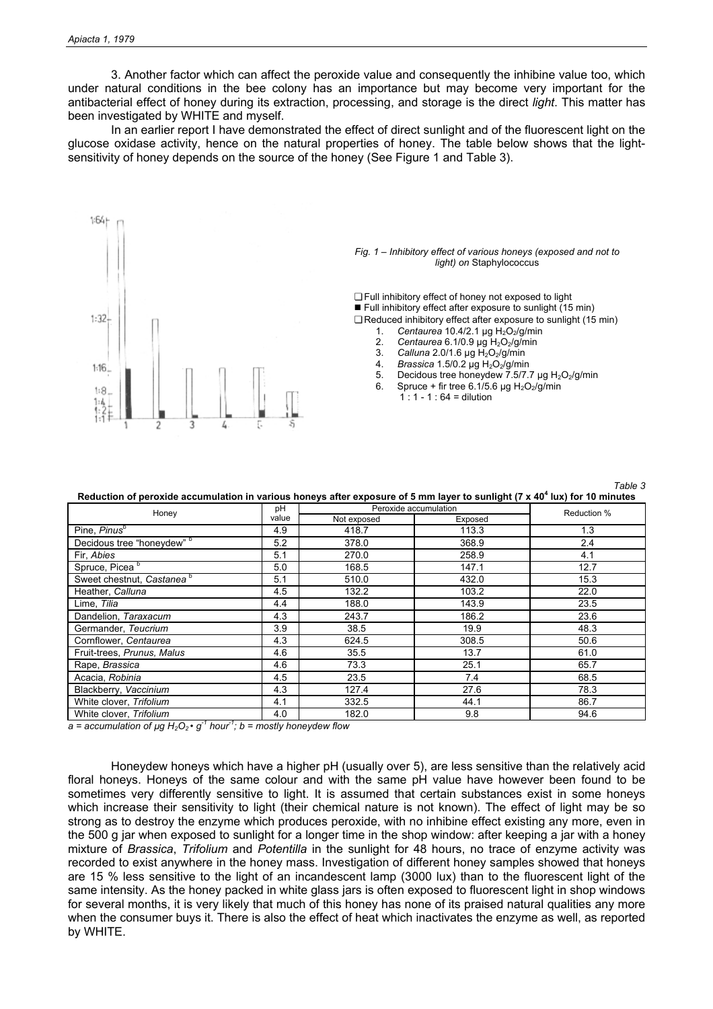3. Another factor which can affect the peroxide value and consequently the inhibine value too, which under natural conditions in the bee colony has an importance but may become very important for the antibacterial effect of honey during its extraction, processing, and storage is the direct *light*. This matter has been investigated by WHITE and myself.

In an earlier report I have demonstrated the effect of direct sunlight and of the fluorescent light on the glucose oxidase activity, hence on the natural properties of honey. The table below shows that the lightsensitivity of honey depends on the source of the honey (See Figure 1 and Table 3).



*Fig. 1 – Inhibitory effect of various honeys (exposed and not to light) on* Staphylococcus

❏ Full inhibitory effect of honey not exposed to light ■ Full inhibitory effect after exposure to sunlight (15 min) ❏ Reduced inhibitory effect after exposure to sunlight (15 min)

- 1. Centaurea 10.4/2.1 µg H<sub>2</sub>O<sub>2</sub>/g/min
- 2. *Centaurea* 6.1/0.9  $\mu$ g H<sub>2</sub>O<sub>2</sub>/g/min<br>3. *Calluna* 2.0/1.6  $\mu$ g H<sub>2</sub>O<sub>2</sub>/g/min
- 3. **Calluna** 2.0/1.6 µg H<sub>2</sub>O<sub>2</sub>/g/min<br>4. **Brassica 1.5/0.2 µg H<sub>2</sub>O<sub>2</sub>/g/mir**
- Brassica 1.5/0.2 µg H<sub>2</sub>O<sub>2</sub>/g/min
- 5. Decidous tree honeydew 7.5/7.7  $\mu$ g H<sub>2</sub>O<sub>2</sub>/g/min<br>6. Spruce + fir tree 6.1/5.6 ug H<sub>2</sub>O<sub>2</sub>/g/min Spruce + fir tree 6.1/5.6 µg  $H_2O_2/g/min$

*Table 3* 

 $1 : 1 - 1 : 64 =$  dilution

**Reduction of peroxide accumulation in various honeys after exposure of 5 mm layer to sunlight (7 x 40<sup>4</sup> lux) for 10 minutes** 

| Honey                                 | рH    | Peroxide accumulation  | Reduction % |      |
|---------------------------------------|-------|------------------------|-------------|------|
|                                       | value | Not exposed<br>Exposed |             |      |
| Pine, Pinus <sup>b</sup>              | 4.9   | 418.7                  | 113.3       | 1.3  |
| Decidous tree "honeydew" b            | 5.2   | 378.0                  | 368.9       | 2.4  |
| Fir, Abies                            | 5.1   | 270.0                  | 258.9       | 4.1  |
| Spruce, Picea <sup>b</sup>            | 5.0   | 168.5                  | 147.1       | 12.7 |
| Sweet chestnut, Castanea <sup>b</sup> | 5.1   | 510.0                  | 432.0       | 15.3 |
| Heather, Calluna                      | 4.5   | 132.2                  | 103.2       | 22.0 |
| Lime, Tilia                           | 4.4   | 188.0                  | 143.9       | 23.5 |
| Dandelion, Taraxacum                  | 4.3   | 243.7                  | 186.2       | 23.6 |
| Germander, Teucrium                   | 3.9   | 38.5                   | 19.9        | 48.3 |
| Cornflower, Centaurea                 | 4.3   | 624.5                  | 308.5       | 50.6 |
| Fruit-trees, Prunus, Malus            | 4.6   | 35.5                   | 13.7        | 61.0 |
| Rape, Brassica                        | 4.6   | 73.3                   | 25.1        | 65.7 |
| Acacia, Robinia                       | 4.5   | 23.5                   | 7.4         | 68.5 |
| Blackberry, Vaccinium                 | 4.3   | 127.4                  | 27.6        | 78.3 |
| White clover, Trifolium               | 4.1   | 332.5                  | 44.1        | 86.7 |
| White clover. Trifolium               | 4.0   | 182.0                  | 9.8         | 94.6 |

 $a =$  *accumulation of µg*  $H_2O_2 \cdot g^{-1}$  *hour<sup>-1</sup>; b = mostly honeydew flow* 

Honeydew honeys which have a higher pH (usually over 5), are less sensitive than the relatively acid floral honeys. Honeys of the same colour and with the same pH value have however been found to be sometimes very differently sensitive to light. It is assumed that certain substances exist in some honeys which increase their sensitivity to light (their chemical nature is not known). The effect of light may be so strong as to destroy the enzyme which produces peroxide, with no inhibine effect existing any more, even in the 500 g jar when exposed to sunlight for a longer time in the shop window: after keeping a jar with a honey mixture of *Brassica*, *Trifolium* and *Potentilla* in the sunlight for 48 hours, no trace of enzyme activity was recorded to exist anywhere in the honey mass. Investigation of different honey samples showed that honeys are 15 % less sensitive to the light of an incandescent lamp (3000 lux) than to the fluorescent light of the same intensity. As the honey packed in white glass jars is often exposed to fluorescent light in shop windows for several months, it is very likely that much of this honey has none of its praised natural qualities any more when the consumer buys it. There is also the effect of heat which inactivates the enzyme as well, as reported by WHITE.